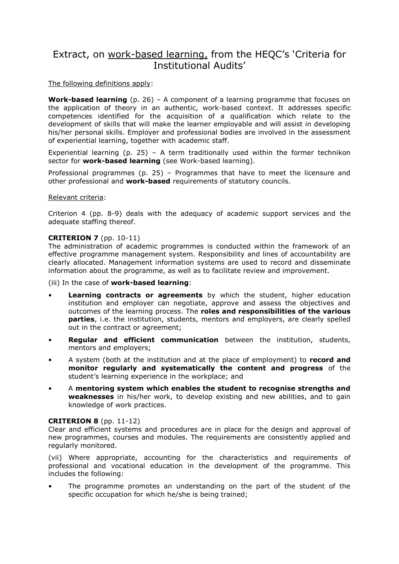# Extract, on work-based learning, from the HEQC's 'Criteria for Institutional Audits'

The following definitions apply:

**Work-based learning** (p. 26) – A component of a learning programme that focuses on the application of theory in an authentic, work-based context. It addresses specific competences identified for the acquisition of a qualification which relate to the development of skills that will make the learner employable and will assist in developing his/her personal skills. Employer and professional bodies are involved in the assessment of experiential learning, together with academic staff.

Experiential learning (p. 25) – A term traditionally used within the former technikon sector for **work-based learning** (see Work-based learning).

Professional programmes (p. 25) – Programmes that have to meet the licensure and other professional and **work-based** requirements of statutory councils.

#### Relevant criteria:

Criterion 4 (pp. 8-9) deals with the adequacy of academic support services and the adequate staffing thereof.

## **CRITERION 7** (pp. 10-11)

The administration of academic programmes is conducted within the framework of an effective programme management system. Responsibility and lines of accountability are clearly allocated. Management information systems are used to record and disseminate information about the programme, as well as to facilitate review and improvement.

(iii) In the case of **work-based learning**:

- **Learning contracts or agreements** by which the student, higher education institution and employer can negotiate, approve and assess the objectives and outcomes of the learning process. The **roles and responsibilities of the various parties**, i.e. the institution, students, mentors and employers, are clearly spelled out in the contract or agreement;
- **Regular and efficient communication** between the institution, students, mentors and employers;
- A system (both at the institution and at the place of employment) to **record and monitor regularly and systematically the content and progress** of the student's learning experience in the workplace; and
- A **mentoring system which enables the student to recognise strengths and weaknesses** in his/her work, to develop existing and new abilities, and to gain knowledge of work practices.

## **CRITERION 8** (pp. 11-12)

Clear and efficient systems and procedures are in place for the design and approval of new programmes, courses and modules. The requirements are consistently applied and regularly monitored.

(vii) Where appropriate, accounting for the characteristics and requirements of professional and vocational education in the development of the programme. This includes the following:

The programme promotes an understanding on the part of the student of the specific occupation for which he/she is being trained;